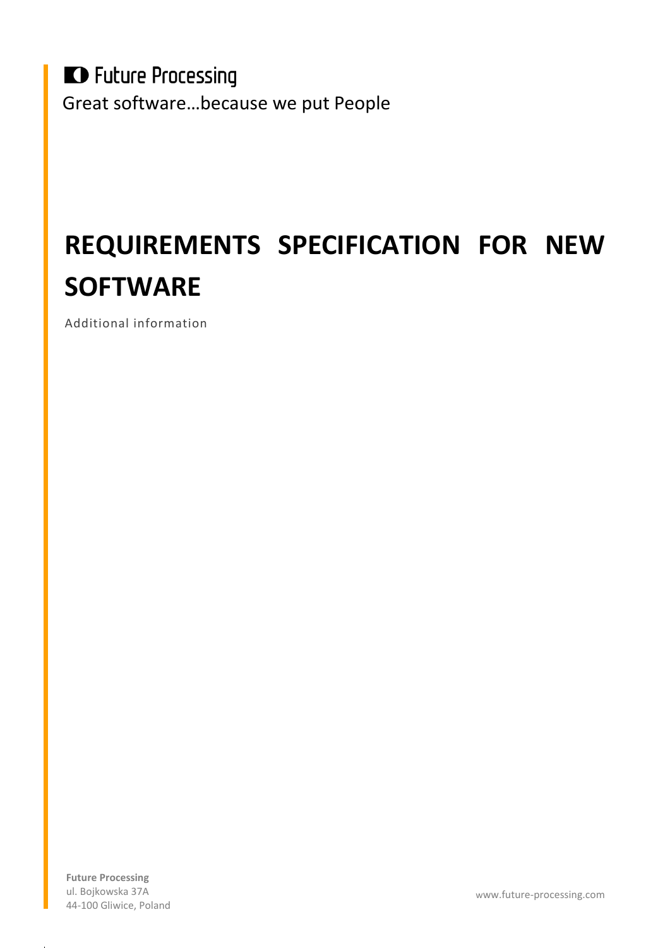**D** Future Processing Great software…because we put People

# **REQUIREMENTS SPECIFICATION FOR NEW SOFTWARE**

Additional information

**Future Processing** ul. Bojkowska 37A 44-100 Gliwice, Poland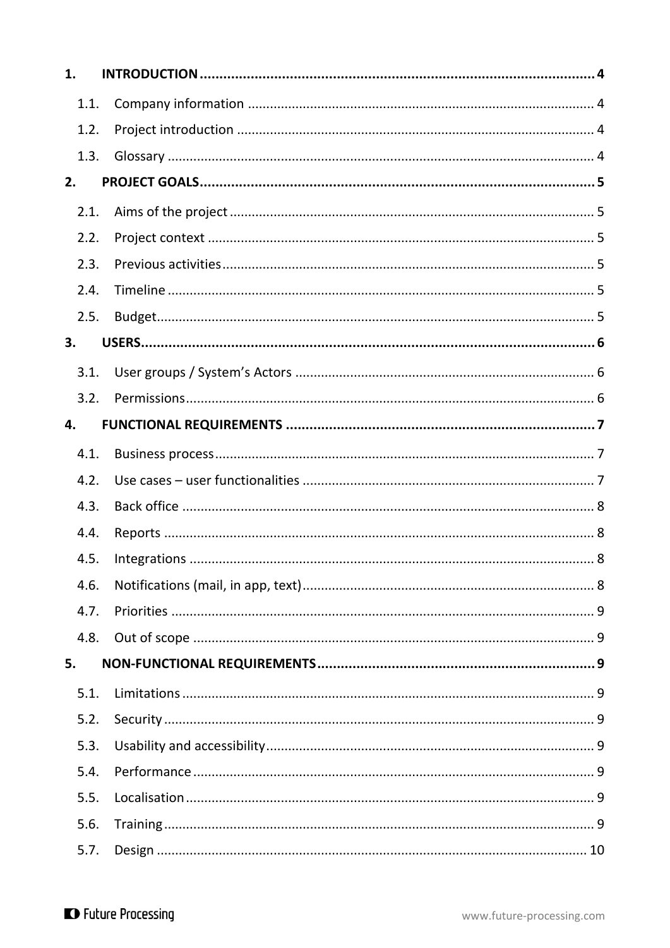| 1.   |  |
|------|--|
| 1.1. |  |
| 1.2. |  |
| 1.3. |  |
| 2.   |  |
| 2.1. |  |
| 2.2. |  |
| 2.3. |  |
| 2.4. |  |
| 2.5. |  |
| 3.   |  |
| 3.1. |  |
| 3.2. |  |
| 4.   |  |
| 4.1. |  |
| 4.2. |  |
| 4.3. |  |
| 4.4. |  |
| 4.5. |  |
| 4.6. |  |
| 4.7. |  |
| 4.8. |  |
| 5.   |  |
| 5.1. |  |
| 5.2. |  |
| 5.3. |  |
| 5.4. |  |
| 5.5. |  |
| 5.6. |  |
| 5.7. |  |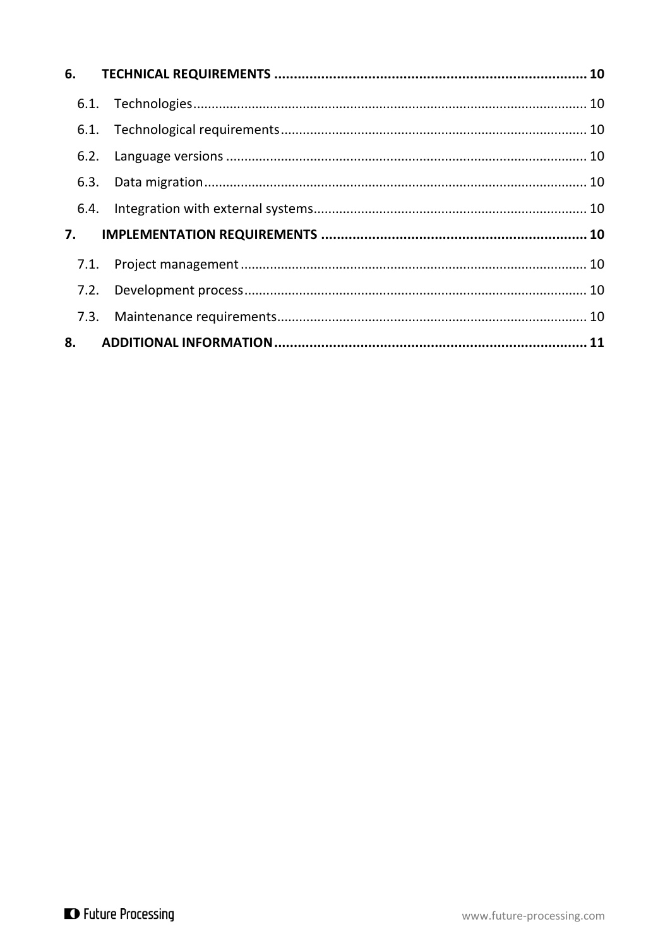| 6.3. |  |  |
|------|--|--|
|      |  |  |
|      |  |  |
|      |  |  |
|      |  |  |
|      |  |  |
|      |  |  |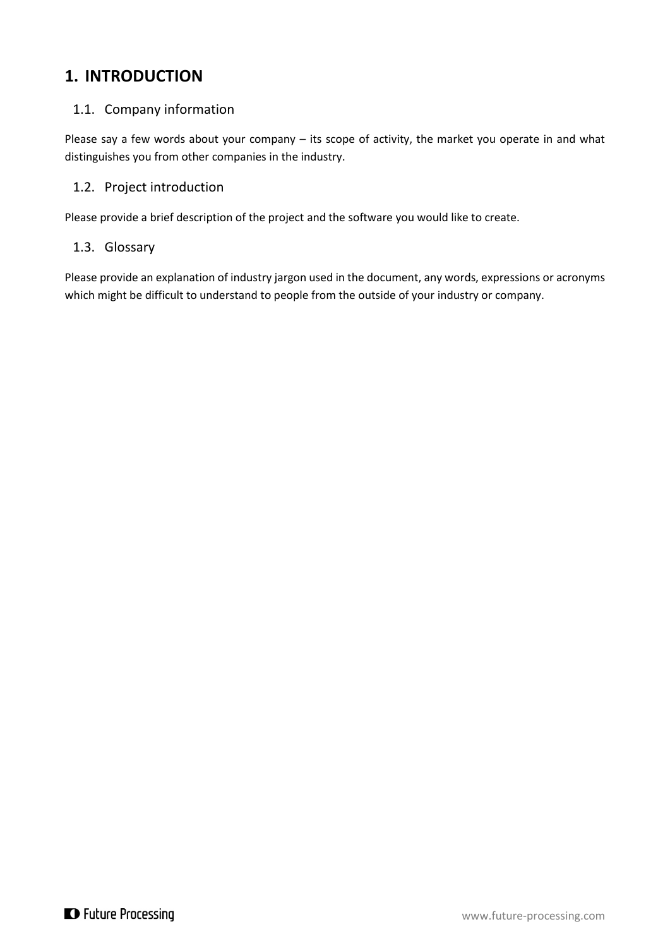### <span id="page-3-0"></span>**1. INTRODUCTION**

### <span id="page-3-1"></span>1.1. Company information

Please say a few words about your company - its scope of activity, the market you operate in and what distinguishes you from other companies in the industry.

### <span id="page-3-2"></span>1.2. Project introduction

Please provide a brief description of the project and the software you would like to create.

### <span id="page-3-3"></span>1.3. Glossary

Please provide an explanation of industry jargon used in the document, any words, expressions or acronyms which might be difficult to understand to people from the outside of your industry or company.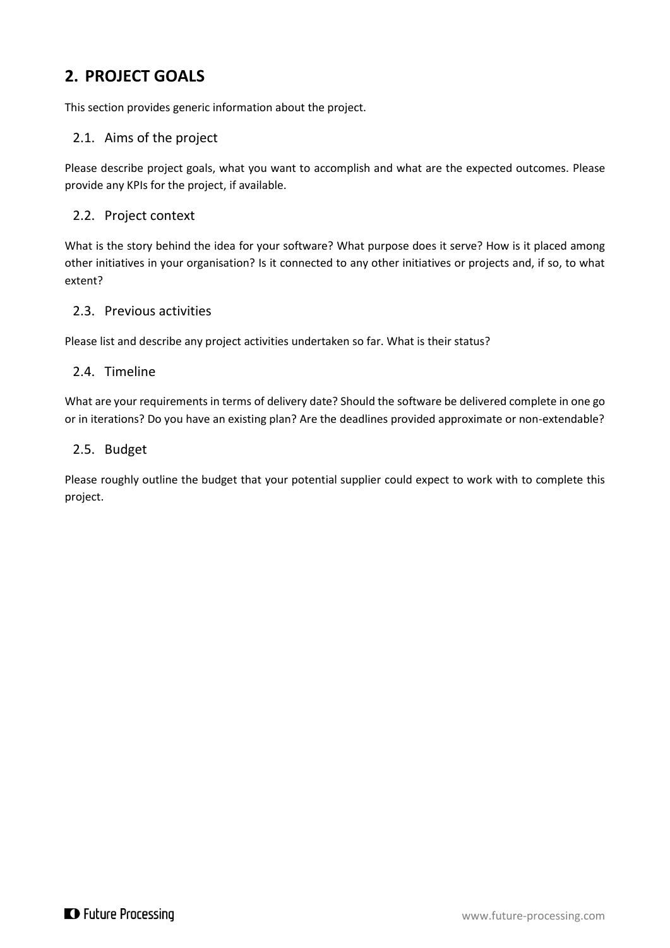# <span id="page-4-0"></span>**2. PROJECT GOALS**

This section provides generic information about the project.

### <span id="page-4-1"></span>2.1. Aims of the project

Please describe project goals, what you want to accomplish and what are the expected outcomes. Please provide any KPIs for the project, if available.

### <span id="page-4-2"></span>2.2. Project context

What is the story behind the idea for your software? What purpose does it serve? How is it placed among other initiatives in your organisation? Is it connected to any other initiatives or projects and, if so, to what extent?

### <span id="page-4-3"></span>2.3. Previous activities

Please list and describe any project activities undertaken so far. What is their status?

### <span id="page-4-4"></span>2.4. Timeline

What are your requirements in terms of delivery date? Should the software be delivered complete in one go or in iterations? Do you have an existing plan? Are the deadlines provided approximate or non-extendable?

#### <span id="page-4-5"></span>2.5. Budget

Please roughly outline the budget that your potential supplier could expect to work with to complete this project.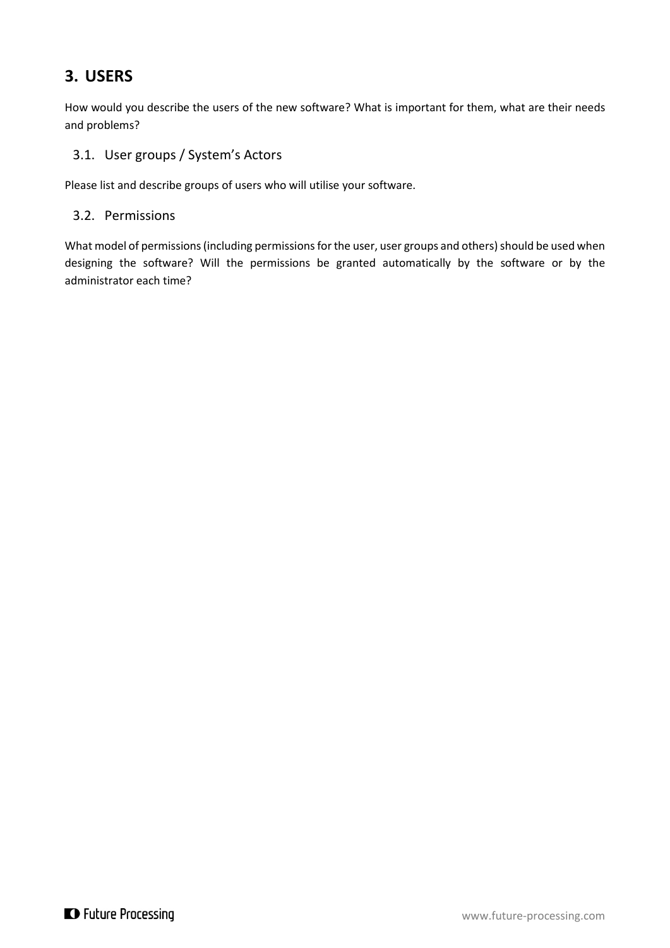# <span id="page-5-0"></span>**3. USERS**

How would you describe the users of the new software? What is important for them, what are their needs and problems?

### <span id="page-5-1"></span>3.1. User groups / System's Actors

Please list and describe groups of users who will utilise your software.

### <span id="page-5-2"></span>3.2. Permissions

What model of permissions (including permissions for the user, user groups and others) should be used when designing the software? Will the permissions be granted automatically by the software or by the administrator each time?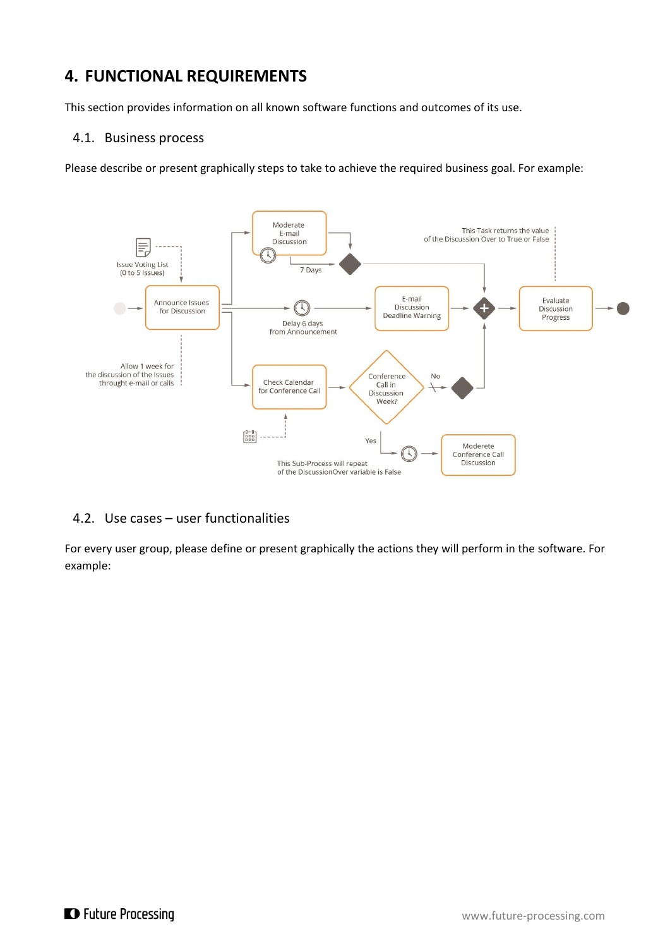# <span id="page-6-0"></span>**4. FUNCTIONAL REQUIREMENTS**

This section provides information on all known software functions and outcomes of its use.

### <span id="page-6-1"></span>4.1. Business process

Please describe or present graphically steps to take to achieve the required business goal. For example:



### <span id="page-6-2"></span>4.2. Use cases – user functionalities

For every user group, please define or present graphically the actions they will perform in the software. For example: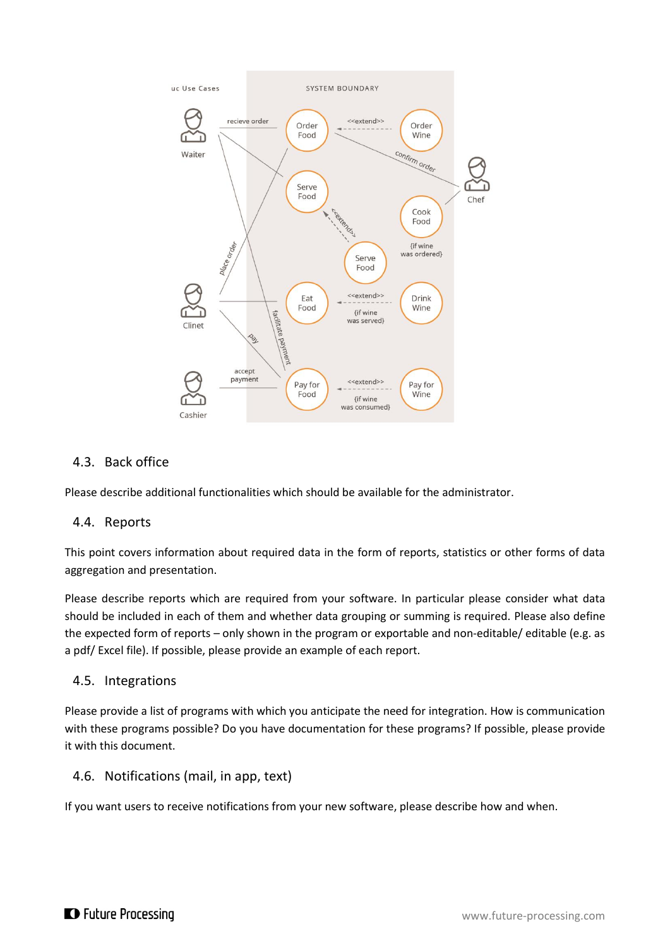

### <span id="page-7-0"></span>4.3. Back office

Please describe additional functionalities which should be available for the administrator.

### <span id="page-7-1"></span>4.4. Reports

This point covers information about required data in the form of reports, statistics or other forms of data aggregation and presentation.

Please describe reports which are required from your software. In particular please consider what data should be included in each of them and whether data grouping or summing is required. Please also define the expected form of reports – only shown in the program or exportable and non-editable/ editable (e.g. as a pdf/ Excel file). If possible, please provide an example of each report.

### <span id="page-7-2"></span>4.5. Integrations

Please provide a list of programs with which you anticipate the need for integration. How is communication with these programs possible? Do you have documentation for these programs? If possible, please provide it with this document.

### <span id="page-7-3"></span>4.6. Notifications (mail, in app, text)

If you want users to receive notifications from your new software, please describe how and when.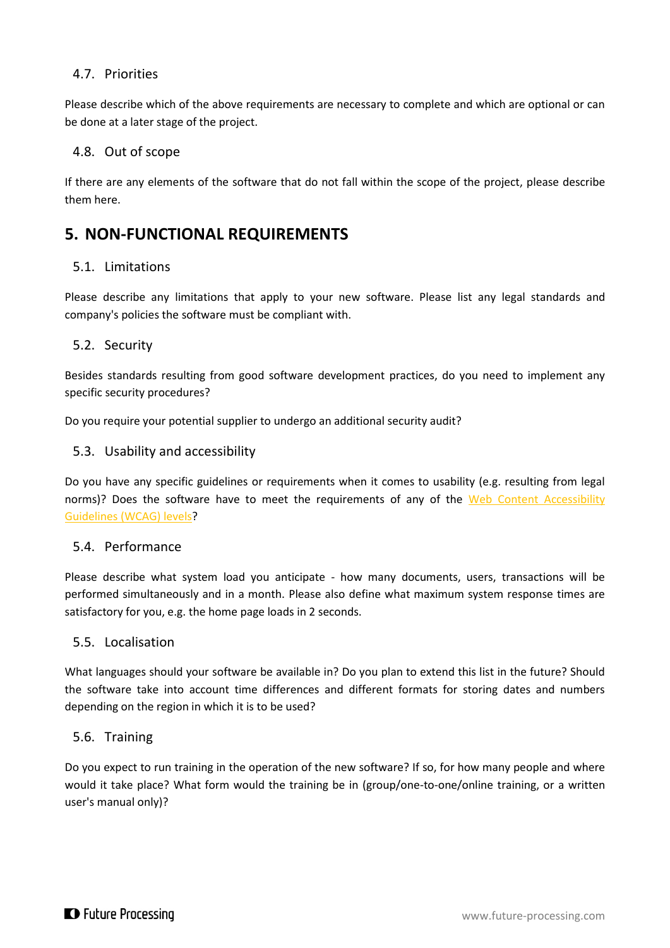### <span id="page-8-0"></span>4.7. Priorities

Please describe which of the above requirements are necessary to complete and which are optional or can be done at a later stage of the project.

### <span id="page-8-1"></span>4.8. Out of scope

If there are any elements of the software that do not fall within the scope of the project, please describe them here.

### <span id="page-8-2"></span>**5. NON-FUNCTIONAL REQUIREMENTS**

### <span id="page-8-3"></span>5.1. Limitations

Please describe any limitations that apply to your new software. Please list any legal standards and company's policies the software must be compliant with.

### <span id="page-8-4"></span>5.2. Security

Besides standards resulting from good software development practices, do you need to implement any specific security procedures?

Do you require your potential supplier to undergo an additional security audit?

### <span id="page-8-5"></span>5.3. Usability and accessibility

Do you have any specific guidelines or requirements when it comes to usability (e.g. resulting from legal norms)? Does the software have to meet the requirements of any of the Web Content Accessibility [Guidelines](https://www.w3.org/TR/WCAG20/) (WCAG) levels?

### <span id="page-8-6"></span>5.4. Performance

Please describe what system load you anticipate - how many documents, users, transactions will be performed simultaneously and in a month. Please also define what maximum system response times are satisfactory for you, e.g. the home page loads in 2 seconds.

### <span id="page-8-7"></span>5.5. Localisation

What languages should your software be available in? Do you plan to extend this list in the future? Should the software take into account time differences and different formats for storing dates and numbers depending on the region in which it is to be used?

### <span id="page-8-8"></span>5.6. Training

Do you expect to run training in the operation of the new software? If so, for how many people and where would it take place? What form would the training be in (group/one-to-one/online training, or a written user's manual only)?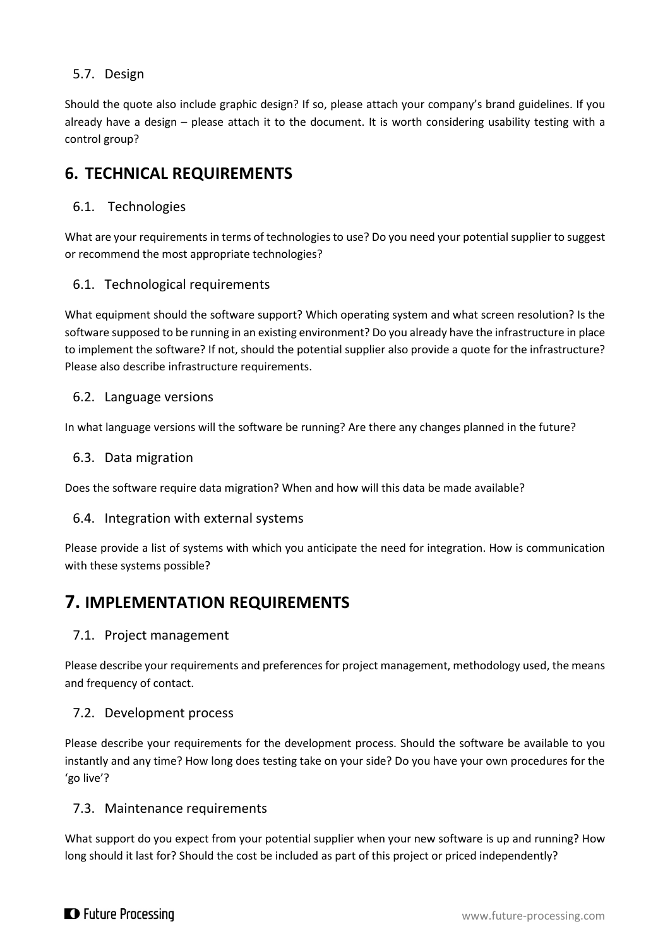### <span id="page-9-0"></span>5.7. Design

Should the quote also include graphic design? If so, please attach your company's brand guidelines. If you already have a design – please attach it to the document. It is worth considering usability testing with a control group?

# <span id="page-9-1"></span>**6. TECHNICAL REQUIREMENTS**

### <span id="page-9-2"></span>6.1. Technologies

What are your requirements in terms of technologies to use? Do you need your potential supplier to suggest or recommend the most appropriate technologies?

### <span id="page-9-3"></span>6.1. Technological requirements

What equipment should the software support? Which operating system and what screen resolution? Is the software supposed to be running in an existing environment? Do you already have the infrastructure in place to implement the software? If not, should the potential supplier also provide a quote for the infrastructure? Please also describe infrastructure requirements.

### <span id="page-9-4"></span>6.2. Language versions

In what language versions will the software be running? Are there any changes planned in the future?

### <span id="page-9-5"></span>6.3. Data migration

Does the software require data migration? When and how will this data be made available?

### <span id="page-9-6"></span>6.4. Integration with external systems

Please provide a list of systems with which you anticipate the need for integration. How is communication with these systems possible?

# <span id="page-9-7"></span>**7. IMPLEMENTATION REQUIREMENTS**

### <span id="page-9-8"></span>7.1. Project management

Please describe your requirements and preferences for project management, methodology used, the means and frequency of contact.

### <span id="page-9-9"></span>7.2. Development process

Please describe your requirements for the development process. Should the software be available to you instantly and any time? How long does testing take on your side? Do you have your own procedures for the 'go live'?

### <span id="page-9-10"></span>7.3. Maintenance requirements

What support do you expect from your potential supplier when your new software is up and running? How long should it last for? Should the cost be included as part of this project or priced independently?